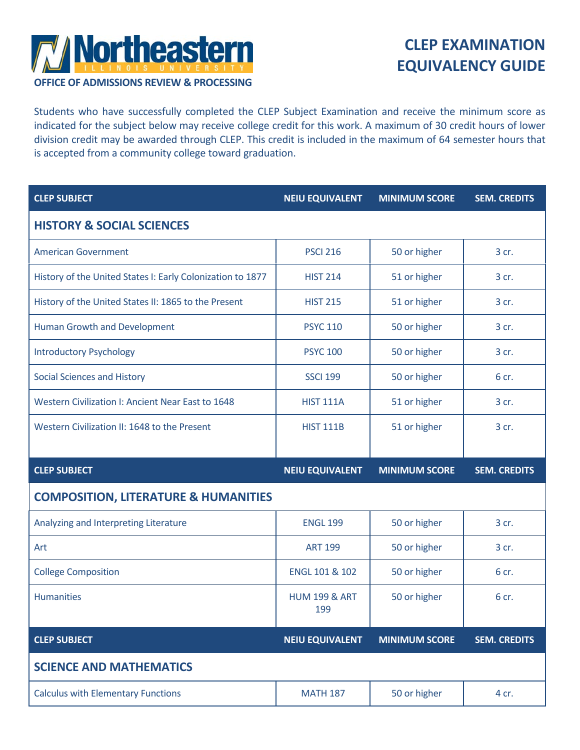

## **CLEP EXAMINATION EQUIVALENCY GUIDE**

**OFFICE OF ADMISSIONS REVIEW & PROCESSING**

Students who have successfully completed the CLEP Subject Examination and receive the minimum score as indicated for the subject below may receive college credit for this work. A maximum of 30 credit hours of lower division credit may be awarded through CLEP. This credit is included in the maximum of 64 semester hours that is accepted from a community college toward graduation.

| <b>CLEP SUBJECT</b>                                        | <b>NEIU EQUIVALENT</b>          | <b>MINIMUM SCORE</b> | <b>SEM. CREDITS</b> |
|------------------------------------------------------------|---------------------------------|----------------------|---------------------|
| <b>HISTORY &amp; SOCIAL SCIENCES</b>                       |                                 |                      |                     |
| <b>American Government</b>                                 | <b>PSCI 216</b>                 | 50 or higher         | 3 cr.               |
| History of the United States I: Early Colonization to 1877 | <b>HIST 214</b>                 | 51 or higher         | 3 cr.               |
| History of the United States II: 1865 to the Present       | <b>HIST 215</b>                 | 51 or higher         | 3 cr.               |
| <b>Human Growth and Development</b>                        | <b>PSYC 110</b>                 | 50 or higher         | 3 cr.               |
| <b>Introductory Psychology</b>                             | <b>PSYC 100</b>                 | 50 or higher         | 3 cr.               |
| <b>Social Sciences and History</b>                         | <b>SSCI 199</b>                 | 50 or higher         | 6 cr.               |
| Western Civilization I: Ancient Near East to 1648          | <b>HIST 111A</b>                | 51 or higher         | 3 cr.               |
| Western Civilization II: 1648 to the Present               | <b>HIST 111B</b>                | 51 or higher         | 3 cr.               |
|                                                            |                                 |                      |                     |
| <b>CLEP SUBJECT</b>                                        | <b>NEIU EQUIVALENT</b>          | <b>MINIMUM SCORE</b> | <b>SEM. CREDITS</b> |
| <b>COMPOSITION, LITERATURE &amp; HUMANITIES</b>            |                                 |                      |                     |
| Analyzing and Interpreting Literature                      | <b>ENGL 199</b>                 | 50 or higher         | 3 cr.               |
| Art                                                        | <b>ART 199</b>                  | 50 or higher         | 3 cr.               |
| <b>College Composition</b>                                 | ENGL 101 & 102                  | 50 or higher         | 6 cr.               |
| <b>Humanities</b>                                          | <b>HUM 199 &amp; ART</b><br>199 | 50 or higher         | 6 cr.               |
| <b>CLEP SUBJECT</b>                                        | <b>NEIU EQUIVALENT</b>          | <b>MINIMUM SCORE</b> | <b>SEM. CREDITS</b> |
| <b>SCIENCE AND MATHEMATICS</b>                             |                                 |                      |                     |
| <b>Calculus with Elementary Functions</b>                  | <b>MATH 187</b>                 | 50 or higher         | 4 cr.               |